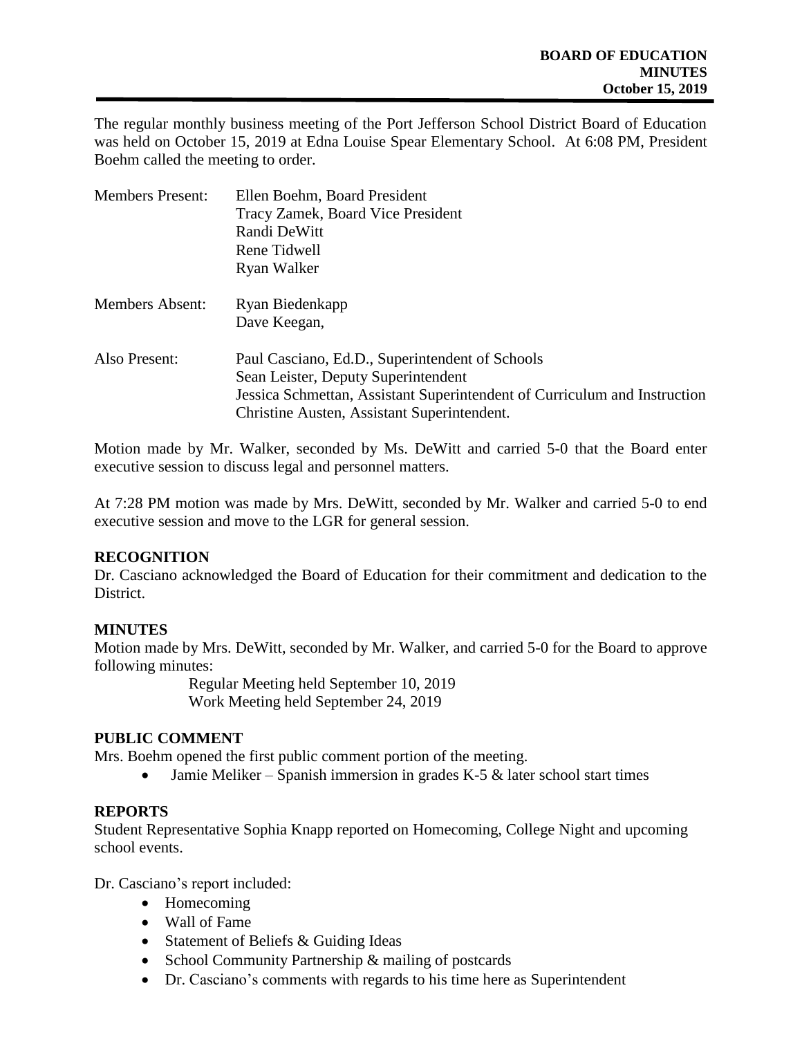The regular monthly business meeting of the Port Jefferson School District Board of Education was held on October 15, 2019 at Edna Louise Spear Elementary School. At 6:08 PM, President Boehm called the meeting to order.

| <b>Members Present:</b> | Ellen Boehm, Board President                                              |  |
|-------------------------|---------------------------------------------------------------------------|--|
|                         | Tracy Zamek, Board Vice President                                         |  |
|                         | Randi DeWitt                                                              |  |
|                         | Rene Tidwell                                                              |  |
|                         | Ryan Walker                                                               |  |
| <b>Members Absent:</b>  | Ryan Biedenkapp                                                           |  |
|                         | Dave Keegan,                                                              |  |
| Also Present:           | Paul Casciano, Ed.D., Superintendent of Schools                           |  |
|                         | Sean Leister, Deputy Superintendent                                       |  |
|                         | Jessica Schmettan, Assistant Superintendent of Curriculum and Instruction |  |
|                         | Christine Austen, Assistant Superintendent.                               |  |

Motion made by Mr. Walker, seconded by Ms. DeWitt and carried 5-0 that the Board enter executive session to discuss legal and personnel matters.

At 7:28 PM motion was made by Mrs. DeWitt, seconded by Mr. Walker and carried 5-0 to end executive session and move to the LGR for general session.

### **RECOGNITION**

Dr. Casciano acknowledged the Board of Education for their commitment and dedication to the District.

### **MINUTES**

Motion made by Mrs. DeWitt, seconded by Mr. Walker, and carried 5-0 for the Board to approve following minutes:

> Regular Meeting held September 10, 2019 Work Meeting held September 24, 2019

### **PUBLIC COMMENT**

Mrs. Boehm opened the first public comment portion of the meeting.

• Jamie Meliker – Spanish immersion in grades K-5  $\&$  later school start times

#### **REPORTS**

Student Representative Sophia Knapp reported on Homecoming, College Night and upcoming school events.

Dr. Casciano's report included:

- Homecoming
- Wall of Fame
- Statement of Beliefs & Guiding Ideas
- School Community Partnership & mailing of postcards
- Dr. Casciano's comments with regards to his time here as Superintendent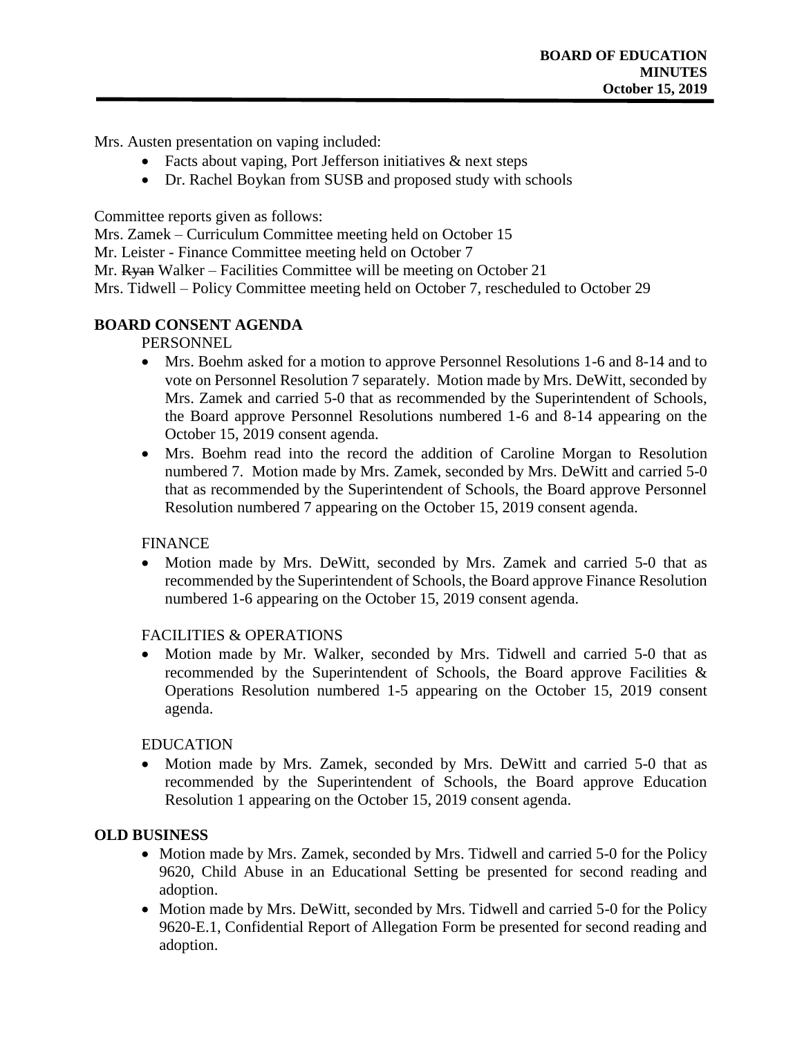Mrs. Austen presentation on vaping included:

- Facts about vaping, Port Jefferson initiatives  $\&$  next steps
- Dr. Rachel Boykan from SUSB and proposed study with schools

Committee reports given as follows:

Mrs. Zamek – Curriculum Committee meeting held on October 15

Mr. Leister - Finance Committee meeting held on October 7

Mr. Ryan Walker – Facilities Committee will be meeting on October 21

Mrs. Tidwell – Policy Committee meeting held on October 7, rescheduled to October 29

# **BOARD CONSENT AGENDA**

### PERSONNEL

- Mrs. Boehm asked for a motion to approve Personnel Resolutions 1-6 and 8-14 and to vote on Personnel Resolution 7 separately. Motion made by Mrs. DeWitt, seconded by Mrs. Zamek and carried 5-0 that as recommended by the Superintendent of Schools, the Board approve Personnel Resolutions numbered 1-6 and 8-14 appearing on the October 15, 2019 consent agenda.
- Mrs. Boehm read into the record the addition of Caroline Morgan to Resolution numbered 7. Motion made by Mrs. Zamek, seconded by Mrs. DeWitt and carried 5-0 that as recommended by the Superintendent of Schools, the Board approve Personnel Resolution numbered 7 appearing on the October 15, 2019 consent agenda.

### **FINANCE**

• Motion made by Mrs. DeWitt, seconded by Mrs. Zamek and carried 5-0 that as recommended by the Superintendent of Schools, the Board approve Finance Resolution numbered 1-6 appearing on the October 15, 2019 consent agenda.

### FACILITIES & OPERATIONS

• Motion made by Mr. Walker, seconded by Mrs. Tidwell and carried 5-0 that as recommended by the Superintendent of Schools, the Board approve Facilities & Operations Resolution numbered 1-5 appearing on the October 15, 2019 consent agenda.

### EDUCATION

• Motion made by Mrs. Zamek, seconded by Mrs. DeWitt and carried 5-0 that as recommended by the Superintendent of Schools, the Board approve Education Resolution 1 appearing on the October 15, 2019 consent agenda.

# **OLD BUSINESS**

- Motion made by Mrs. Zamek, seconded by Mrs. Tidwell and carried 5-0 for the Policy 9620, Child Abuse in an Educational Setting be presented for second reading and adoption.
- Motion made by Mrs. DeWitt, seconded by Mrs. Tidwell and carried 5-0 for the Policy 9620-E.1, Confidential Report of Allegation Form be presented for second reading and adoption.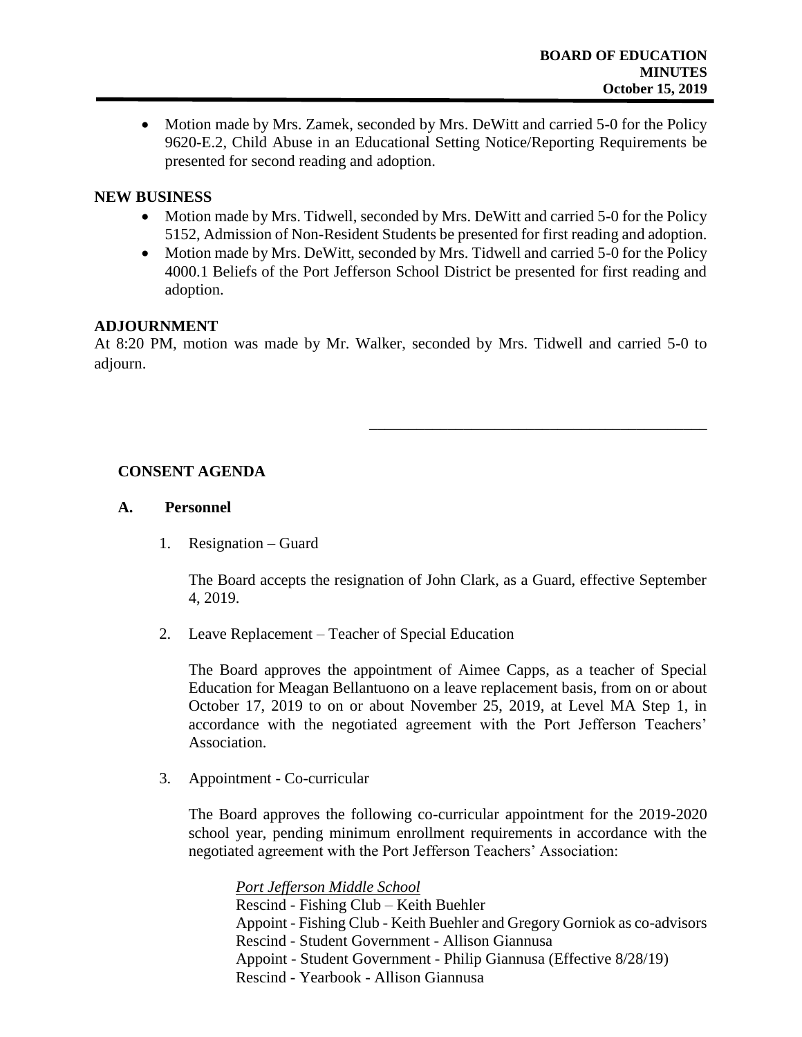• Motion made by Mrs. Zamek, seconded by Mrs. DeWitt and carried 5-0 for the Policy 9620-E.2, Child Abuse in an Educational Setting Notice/Reporting Requirements be presented for second reading and adoption.

### **NEW BUSINESS**

- Motion made by Mrs. Tidwell, seconded by Mrs. DeWitt and carried 5-0 for the Policy 5152, Admission of Non-Resident Students be presented for first reading and adoption.
- Motion made by Mrs. DeWitt, seconded by Mrs. Tidwell and carried 5-0 for the Policy 4000.1 Beliefs of the Port Jefferson School District be presented for first reading and adoption.

### **ADJOURNMENT**

At 8:20 PM, motion was made by Mr. Walker, seconded by Mrs. Tidwell and carried 5-0 to adjourn.

# **CONSENT AGENDA**

### **A. Personnel**

1. Resignation – Guard

The Board accepts the resignation of John Clark, as a Guard, effective September 4, 2019.

\_\_\_\_\_\_\_\_\_\_\_\_\_\_\_\_\_\_\_\_\_\_\_\_\_\_\_\_\_\_\_\_\_\_\_\_\_\_\_\_\_\_\_

2. Leave Replacement – Teacher of Special Education

The Board approves the appointment of Aimee Capps, as a teacher of Special Education for Meagan Bellantuono on a leave replacement basis, from on or about October 17, 2019 to on or about November 25, 2019, at Level MA Step 1, in accordance with the negotiated agreement with the Port Jefferson Teachers' Association.

3. Appointment - Co-curricular

The Board approves the following co-curricular appointment for the 2019-2020 school year, pending minimum enrollment requirements in accordance with the negotiated agreement with the Port Jefferson Teachers' Association:

*Port Jefferson Middle School* Rescind - Fishing Club – Keith Buehler Appoint - Fishing Club - Keith Buehler and Gregory Gorniok as co-advisors Rescind - Student Government - Allison Giannusa Appoint - Student Government - Philip Giannusa (Effective 8/28/19) Rescind - Yearbook - Allison Giannusa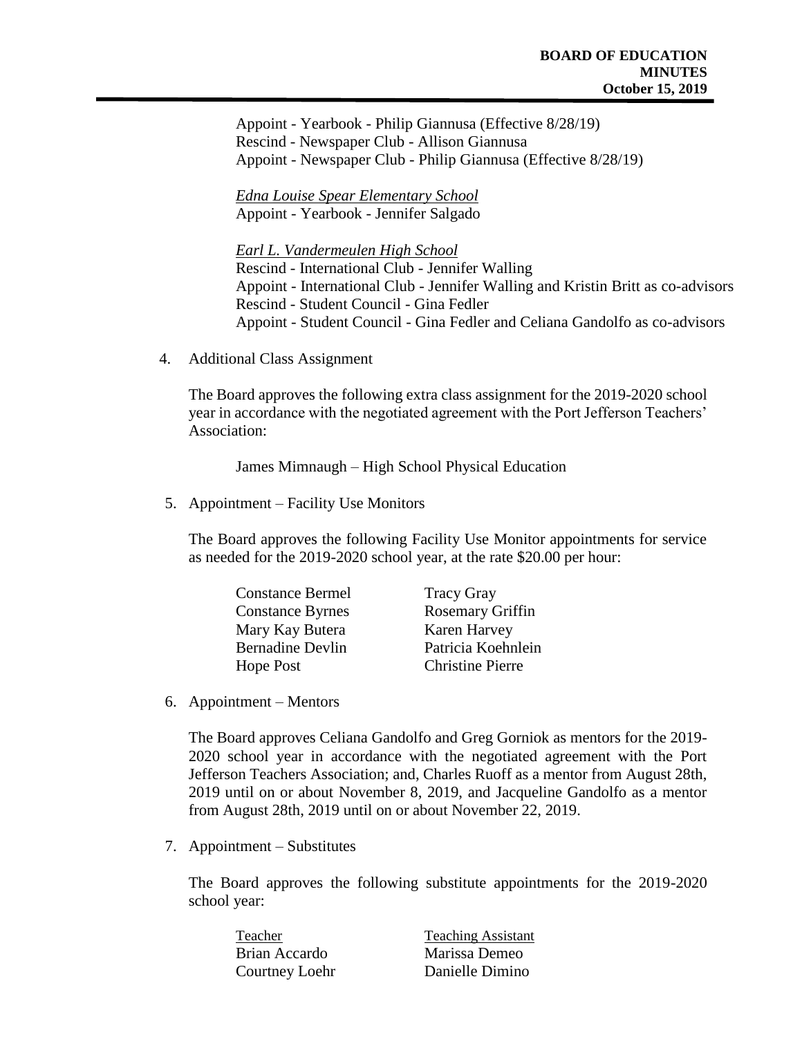Appoint - Yearbook - Philip Giannusa (Effective 8/28/19) Rescind - Newspaper Club - Allison Giannusa Appoint - Newspaper Club - Philip Giannusa (Effective 8/28/19)

*Edna Louise Spear Elementary School* Appoint - Yearbook - Jennifer Salgado

*Earl L. Vandermeulen High School* Rescind - International Club - Jennifer Walling Appoint - International Club - Jennifer Walling and Kristin Britt as co-advisors Rescind - Student Council - Gina Fedler Appoint - Student Council - Gina Fedler and Celiana Gandolfo as co-advisors

4. Additional Class Assignment

The Board approves the following extra class assignment for the 2019-2020 school year in accordance with the negotiated agreement with the Port Jefferson Teachers' Association:

James Mimnaugh – High School Physical Education

5. Appointment – Facility Use Monitors

The Board approves the following Facility Use Monitor appointments for service as needed for the 2019-2020 school year, at the rate \$20.00 per hour:

| <b>Tracy Gray</b>       |
|-------------------------|
| <b>Rosemary Griffin</b> |
| Karen Harvey            |
| Patricia Koehnlein      |
| <b>Christine Pierre</b> |
|                         |

6. Appointment – Mentors

The Board approves Celiana Gandolfo and Greg Gorniok as mentors for the 2019- 2020 school year in accordance with the negotiated agreement with the Port Jefferson Teachers Association; and, Charles Ruoff as a mentor from August 28th, 2019 until on or about November 8, 2019, and Jacqueline Gandolfo as a mentor from August 28th, 2019 until on or about November 22, 2019.

7. Appointment – Substitutes

The Board approves the following substitute appointments for the 2019-2020 school year:

| Teacher        | <b>Teaching Assistant</b> |
|----------------|---------------------------|
| Brian Accardo  | Marissa Demeo             |
| Courtney Loehr | Danielle Dimino           |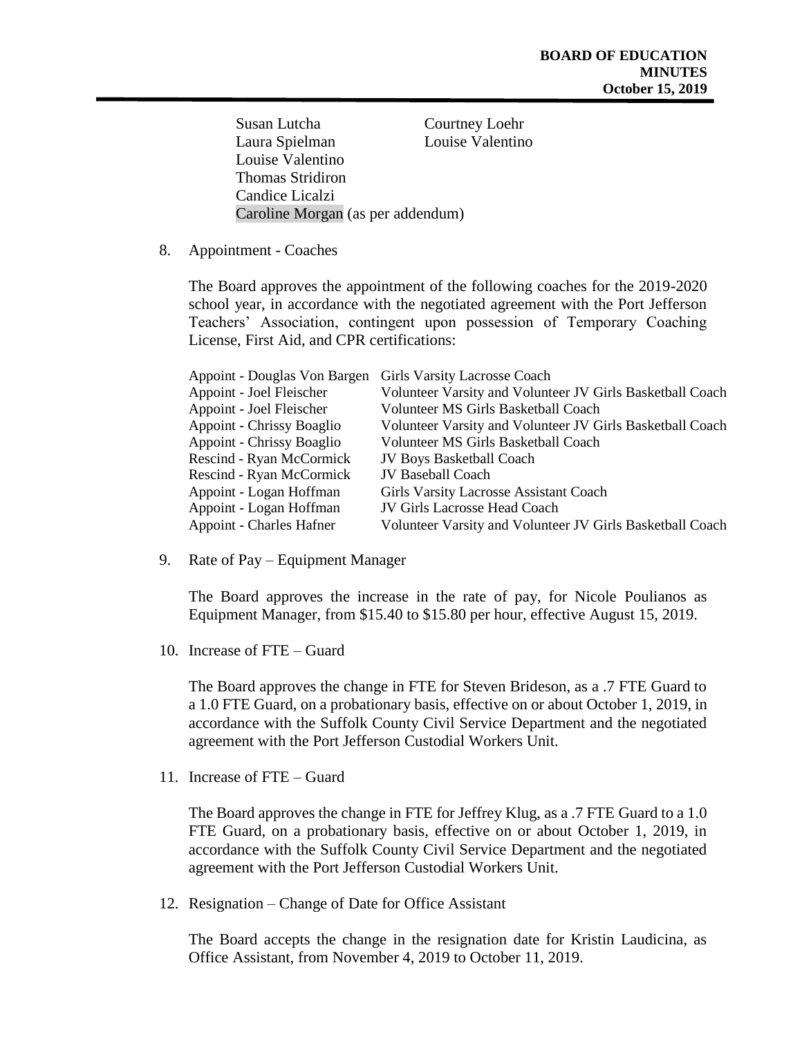| Susan Lutcha                      | Courtney Loehr   |
|-----------------------------------|------------------|
| Laura Spielman                    | Louise Valentino |
| Louise Valentino                  |                  |
| <b>Thomas Stridiron</b>           |                  |
| Candice Licalzi                   |                  |
| Caroline Morgan (as per addendum) |                  |

8. Appointment - Coaches

The Board approves the appointment of the following coaches for the 2019-2020 school year, in accordance with the negotiated agreement with the Port Jefferson Teachers' Association, contingent upon possession of Temporary Coaching License, First Aid, and CPR certifications:

| Appoint - Douglas Von Bargen    | Girls Varsity Lacrosse Coach                              |
|---------------------------------|-----------------------------------------------------------|
| Appoint - Joel Fleischer        | Volunteer Varsity and Volunteer JV Girls Basketball Coach |
| Appoint - Joel Fleischer        | Volunteer MS Girls Basketball Coach                       |
| Appoint - Chrissy Boaglio       | Volunteer Varsity and Volunteer JV Girls Basketball Coach |
| Appoint - Chrissy Boaglio       | Volunteer MS Girls Basketball Coach                       |
| Rescind - Ryan McCormick        | <b>JV Boys Basketball Coach</b>                           |
| Rescind - Ryan McCormick        | <b>JV Baseball Coach</b>                                  |
| Appoint - Logan Hoffman         | Girls Varsity Lacrosse Assistant Coach                    |
| Appoint - Logan Hoffman         | <b>JV Girls Lacrosse Head Coach</b>                       |
| <b>Appoint - Charles Hafner</b> | Volunteer Varsity and Volunteer JV Girls Basketball Coach |

9. Rate of Pay – Equipment Manager

The Board approves the increase in the rate of pay, for Nicole Poulianos as Equipment Manager, from \$15.40 to \$15.80 per hour, effective August 15, 2019.

10. Increase of FTE – Guard

The Board approves the change in FTE for Steven Brideson, as a .7 FTE Guard to a 1.0 FTE Guard, on a probationary basis, effective on or about October 1, 2019, in accordance with the Suffolk County Civil Service Department and the negotiated agreement with the Port Jefferson Custodial Workers Unit.

11. Increase of FTE – Guard

The Board approves the change in FTE for Jeffrey Klug, as a .7 FTE Guard to a 1.0 FTE Guard, on a probationary basis, effective on or about October 1, 2019, in accordance with the Suffolk County Civil Service Department and the negotiated agreement with the Port Jefferson Custodial Workers Unit.

12. Resignation – Change of Date for Office Assistant

The Board accepts the change in the resignation date for Kristin Laudicina, as Office Assistant, from November 4, 2019 to October 11, 2019.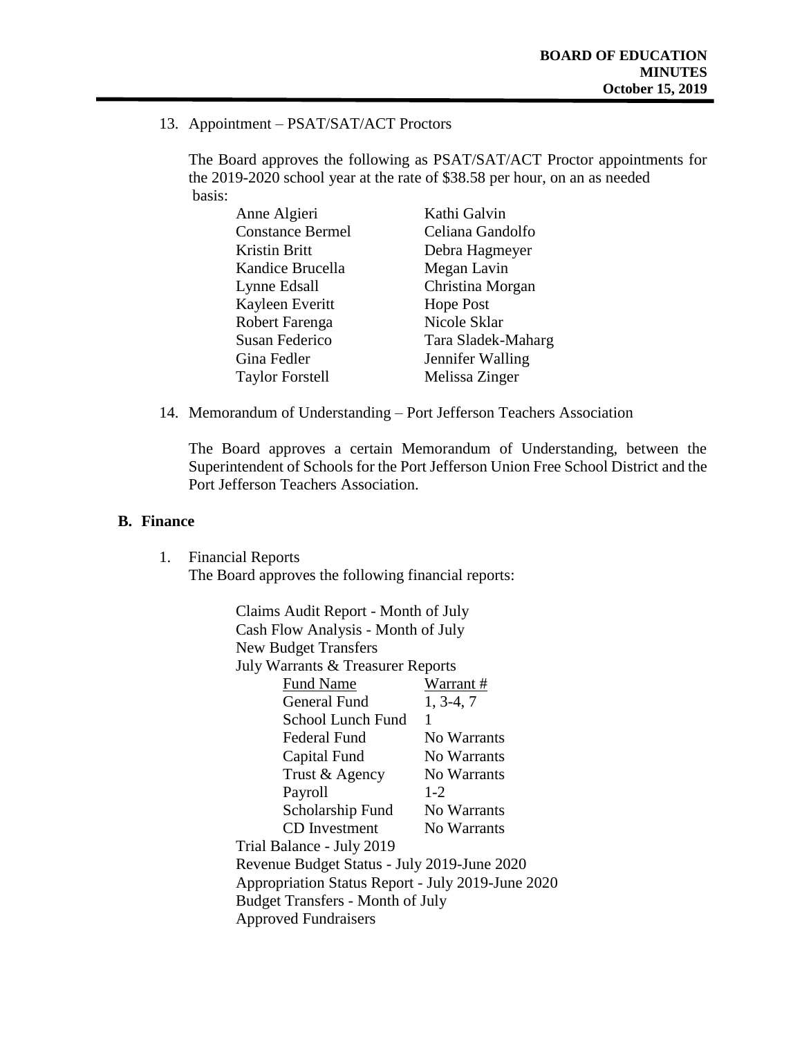13. Appointment – PSAT/SAT/ACT Proctors

The Board approves the following as PSAT/SAT/ACT Proctor appointments for the 2019-2020 school year at the rate of \$38.58 per hour, on an as needed basis:

| Anne Algieri            | Kathi Galvin       |
|-------------------------|--------------------|
| <b>Constance Bermel</b> | Celiana Gandolfo   |
| Kristin Britt           | Debra Hagmeyer     |
| Kandice Brucella        | Megan Lavin        |
| Lynne Edsall            | Christina Morgan   |
| Kayleen Everitt         | <b>Hope Post</b>   |
| Robert Farenga          | Nicole Sklar       |
| Susan Federico          | Tara Sladek-Maharg |
| Gina Fedler             | Jennifer Walling   |
| <b>Taylor Forstell</b>  | Melissa Zinger     |

14. Memorandum of Understanding – Port Jefferson Teachers Association

The Board approves a certain Memorandum of Understanding, between the Superintendent of Schools for the Port Jefferson Union Free School District and the Port Jefferson Teachers Association.

#### **B. Finance**

1. Financial Reports The Board approves the following financial reports:

| Claims Audit Report - Month of July               |             |  |  |
|---------------------------------------------------|-------------|--|--|
| Cash Flow Analysis - Month of July                |             |  |  |
| <b>New Budget Transfers</b>                       |             |  |  |
| July Warrants & Treasurer Reports                 |             |  |  |
| <b>Fund Name</b>                                  | Warrant #   |  |  |
| General Fund                                      | $1, 3-4, 7$ |  |  |
| School Lunch Fund                                 | 1           |  |  |
| Federal Fund                                      | No Warrants |  |  |
| Capital Fund                                      | No Warrants |  |  |
| Trust & Agency                                    | No Warrants |  |  |
| Payroll                                           | $1 - 2$     |  |  |
| Scholarship Fund                                  | No Warrants |  |  |
| CD Investment                                     | No Warrants |  |  |
| Trial Balance - July 2019                         |             |  |  |
| Revenue Budget Status - July 2019-June 2020       |             |  |  |
| Appropriation Status Report - July 2019-June 2020 |             |  |  |
| <b>Budget Transfers - Month of July</b>           |             |  |  |
| <b>Approved Fundraisers</b>                       |             |  |  |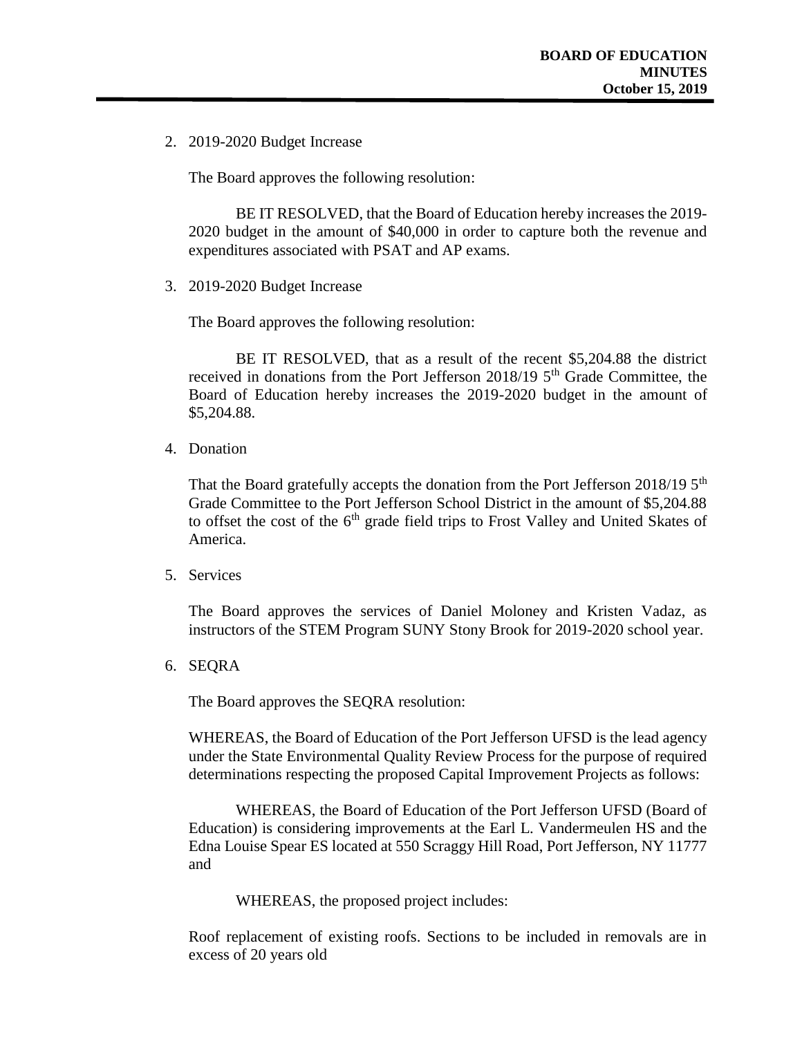2. 2019-2020 Budget Increase

The Board approves the following resolution:

BE IT RESOLVED, that the Board of Education hereby increases the 2019- 2020 budget in the amount of \$40,000 in order to capture both the revenue and expenditures associated with PSAT and AP exams.

3. 2019-2020 Budget Increase

The Board approves the following resolution:

BE IT RESOLVED, that as a result of the recent \$5,204.88 the district received in donations from the Port Jefferson  $2018/19$  5<sup>th</sup> Grade Committee, the Board of Education hereby increases the 2019-2020 budget in the amount of \$5,204.88.

4. Donation

That the Board gratefully accepts the donation from the Port Jefferson 2018/19  $5<sup>th</sup>$ Grade Committee to the Port Jefferson School District in the amount of \$5,204.88 to offset the cost of the  $6<sup>th</sup>$  grade field trips to Frost Valley and United Skates of America.

5. Services

The Board approves the services of Daniel Moloney and Kristen Vadaz, as instructors of the STEM Program SUNY Stony Brook for 2019-2020 school year.

6. SEQRA

The Board approves the SEQRA resolution:

WHEREAS, the Board of Education of the Port Jefferson UFSD is the lead agency under the State Environmental Quality Review Process for the purpose of required determinations respecting the proposed Capital Improvement Projects as follows:

WHEREAS, the Board of Education of the Port Jefferson UFSD (Board of Education) is considering improvements at the Earl L. Vandermeulen HS and the Edna Louise Spear ES located at 550 Scraggy Hill Road, Port Jefferson, NY 11777 and

WHEREAS, the proposed project includes:

Roof replacement of existing roofs. Sections to be included in removals are in excess of 20 years old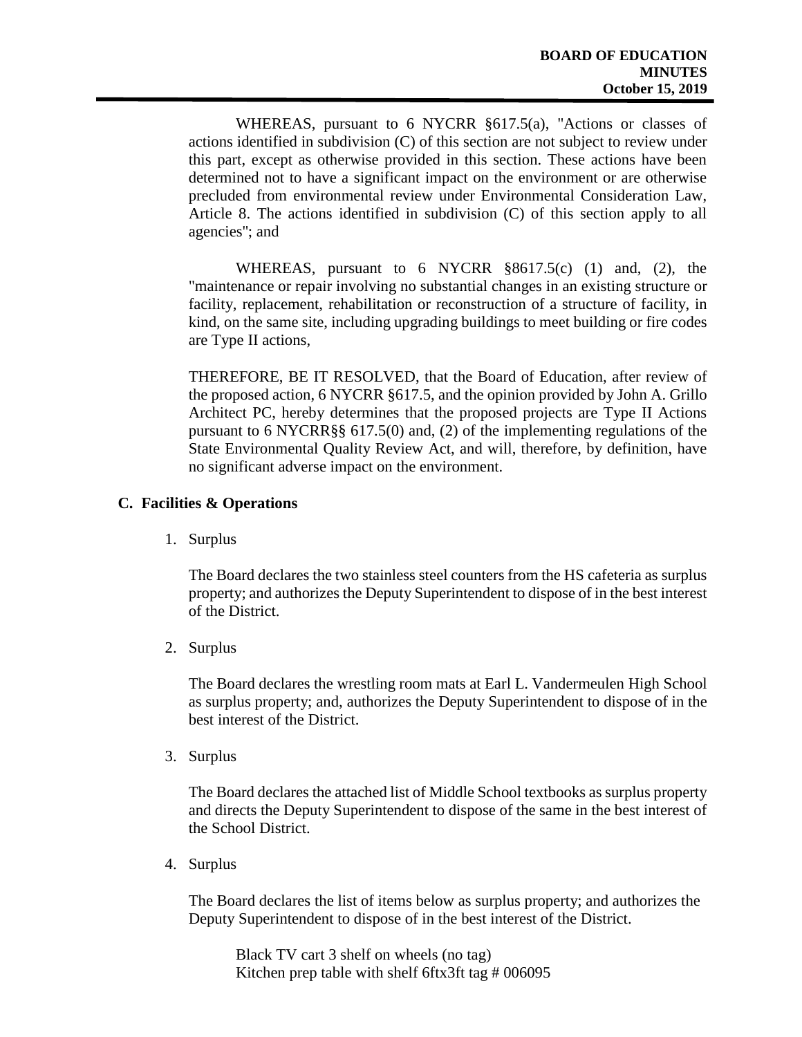WHEREAS, pursuant to 6 NYCRR §617.5(a), "Actions or classes of actions identified in subdivision (C) of this section are not subject to review under this part, except as otherwise provided in this section. These actions have been determined not to have a significant impact on the environment or are otherwise precluded from environmental review under Environmental Consideration Law, Article 8. The actions identified in subdivision (C) of this section apply to all agencies''; and

WHEREAS, pursuant to 6 NYCRR §8617.5(c) (1) and, (2), the "maintenance or repair involving no substantial changes in an existing structure or facility, replacement, rehabilitation or reconstruction of a structure of facility, in kind, on the same site, including upgrading buildings to meet building or fire codes are Type II actions,

THEREFORE, BE IT RESOLVED, that the Board of Education, after review of the proposed action, 6 NYCRR §617.5, and the opinion provided by John A. Grillo Architect PC, hereby determines that the proposed projects are Type II Actions pursuant to 6 NYCRR§§ 617.5(0) and, (2) of the implementing regulations of the State Environmental Quality Review Act, and will, therefore, by definition, have no significant adverse impact on the environment.

### **C. Facilities & Operations**

1. Surplus

The Board declares the two stainless steel counters from the HS cafeteria as surplus property; and authorizes the Deputy Superintendent to dispose of in the best interest of the District.

2. Surplus

The Board declares the wrestling room mats at Earl L. Vandermeulen High School as surplus property; and, authorizes the Deputy Superintendent to dispose of in the best interest of the District.

3. Surplus

The Board declares the attached list of Middle School textbooks as surplus property and directs the Deputy Superintendent to dispose of the same in the best interest of the School District.

4. Surplus

The Board declares the list of items below as surplus property; and authorizes the Deputy Superintendent to dispose of in the best interest of the District.

Black TV cart 3 shelf on wheels (no tag) Kitchen prep table with shelf 6ftx3ft tag # 006095